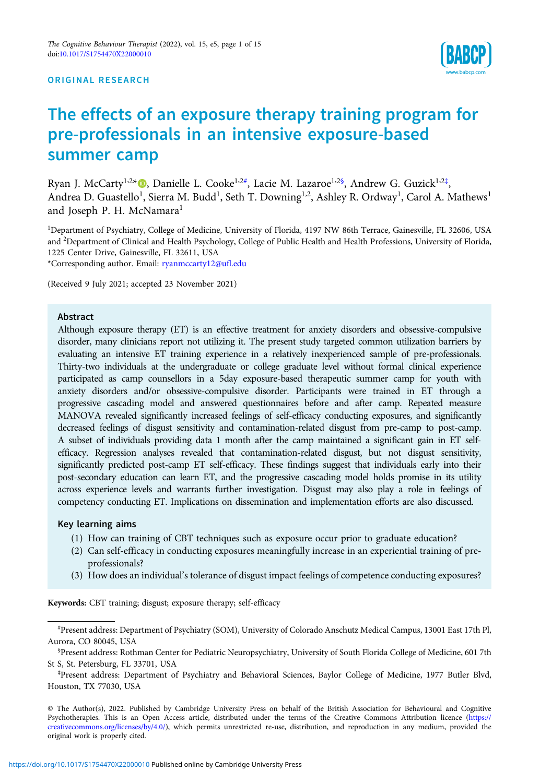#### ORIGINAL RESEARCH



# The effects of an exposure therapy training program for pre-professionals in an intensive exposure-based summer camp

Ryan J. McCarty<sup>1,2</sup>\* ©, Danielle L. Cooke<sup>1,2#</sup>, Lacie M. Lazaroe<sup>1,2§</sup>, Andrew G. Guzick<sup>1,2‡</sup>, Andrea D. Guastello<sup>1</sup>, Sierra M. Budd<sup>1</sup>, Seth T. Downing<sup>1,2</sup>, Ashley R. Ordway<sup>1</sup>, Carol A. Mathews<sup>1</sup> and Joseph P. H. McNamara<sup>1</sup>

1 Department of Psychiatry, College of Medicine, University of Florida, 4197 NW 86th Terrace, Gainesville, FL 32606, USA and <sup>2</sup>Department of Clinical and Health Psychology, College of Public Health and Health Professions, University of Florida, 1225 Center Drive, Gainesville, FL 32611, USA

\*Corresponding author. Email: [ryanmccarty12@ufl.edu](mailto:ryanmccarty12@ufl.edu)

(Received 9 July 2021; accepted 23 November 2021)

## Abstract

Although exposure therapy (ET) is an effective treatment for anxiety disorders and obsessive-compulsive disorder, many clinicians report not utilizing it. The present study targeted common utilization barriers by evaluating an intensive ET training experience in a relatively inexperienced sample of pre-professionals. Thirty-two individuals at the undergraduate or college graduate level without formal clinical experience participated as camp counsellors in a 5day exposure-based therapeutic summer camp for youth with anxiety disorders and/or obsessive-compulsive disorder. Participants were trained in ET through a progressive cascading model and answered questionnaires before and after camp. Repeated measure MANOVA revealed significantly increased feelings of self-efficacy conducting exposures, and significantly decreased feelings of disgust sensitivity and contamination-related disgust from pre-camp to post-camp. A subset of individuals providing data 1 month after the camp maintained a significant gain in ET selfefficacy. Regression analyses revealed that contamination-related disgust, but not disgust sensitivity, significantly predicted post-camp ET self-efficacy. These findings suggest that individuals early into their post-secondary education can learn ET, and the progressive cascading model holds promise in its utility across experience levels and warrants further investigation. Disgust may also play a role in feelings of competency conducting ET. Implications on dissemination and implementation efforts are also discussed.

# Key learning aims

- (1) How can training of CBT techniques such as exposure occur prior to graduate education?
- (2) Can self-efficacy in conducting exposures meaningfully increase in an experiential training of preprofessionals?
- (3) How does an individual's tolerance of disgust impact feelings of competence conducting exposures?

Keywords: CBT training; disgust; exposure therapy; self-efficacy

<sup>#</sup> Present address: Department of Psychiatry (SOM), University of Colorado Anschutz Medical Campus, 13001 East 17th Pl, Aurora, CO 80045, USA

<sup>§</sup> Present address: Rothman Center for Pediatric Neuropsychiatry, University of South Florida College of Medicine, 601 7th St S, St. Petersburg, FL 33701, USA

<sup>‡</sup> Present address: Department of Psychiatry and Behavioral Sciences, Baylor College of Medicine, 1977 Butler Blvd, Houston, TX 77030, USA

<sup>©</sup> The Author(s), 2022. Published by Cambridge University Press on behalf of the British Association for Behavioural and Cognitive Psychotherapies. This is an Open Access article, distributed under the terms of the Creative Commons Attribution licence ([https://](https://creativecommons.org/licenses/by/4.0/) [creativecommons.org/licenses/by/4.0/\)](https://creativecommons.org/licenses/by/4.0/), which permits unrestricted re-use, distribution, and reproduction in any medium, provided the original work is properly cited.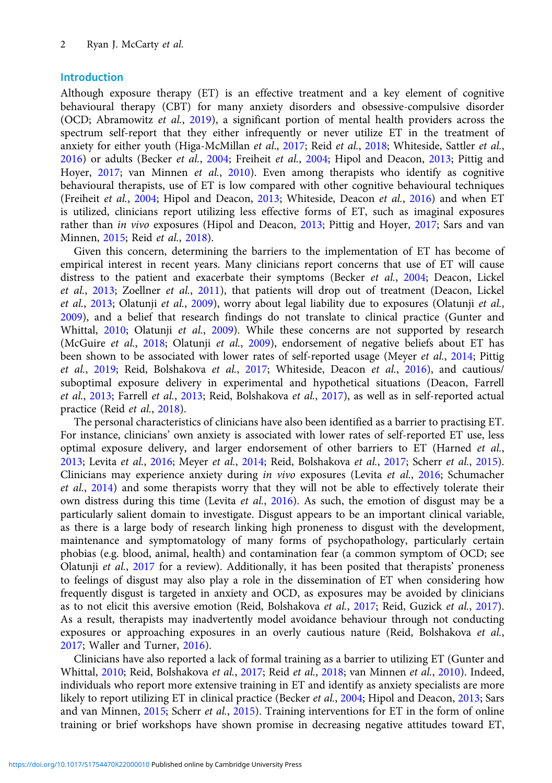# Introduction

Although exposure therapy (ET) is an effective treatment and a key element of cognitive behavioural therapy (CBT) for many anxiety disorders and obsessive-compulsive disorder (OCD; Abramowitz et al., [2019](#page-12-0)), a significant portion of mental health providers across the spectrum self-report that they either infrequently or never utilize ET in the treatment of anxiety for either youth (Higa-McMillan et al., [2017](#page-13-0); Reid et al., [2018;](#page-14-0) Whiteside, Sattler et al., [2016\)](#page-14-0) or adults (Becker et al., [2004](#page-12-0); Freiheit et al., [2004;](#page-13-0) Hipol and Deacon, [2013](#page-13-0); Pittig and Hoyer, [2017](#page-13-0); van Minnen et al., [2010\)](#page-14-0). Even among therapists who identify as cognitive behavioural therapists, use of ET is low compared with other cognitive behavioural techniques (Freiheit et al., [2004;](#page-13-0) Hipol and Deacon, [2013;](#page-13-0) Whiteside, Deacon et al., [2016\)](#page-14-0) and when ET is utilized, clinicians report utilizing less effective forms of ET, such as imaginal exposures rather than in vivo exposures (Hipol and Deacon, [2013](#page-13-0); Pittig and Hoyer, [2017](#page-13-0); Sars and van Minnen, [2015;](#page-14-0) Reid et al., [2018](#page-14-0)).

Given this concern, determining the barriers to the implementation of ET has become of empirical interest in recent years. Many clinicians report concerns that use of ET will cause distress to the patient and exacerbate their symptoms (Becker et al., [2004](#page-12-0); Deacon, Lickel et al., [2013](#page-12-0); Zoellner et al., [2011\)](#page-14-0), that patients will drop out of treatment (Deacon, Lickel et al., [2013](#page-12-0); Olatunji et al., [2009](#page-13-0)), worry about legal liability due to exposures (Olatunji et al., [2009\)](#page-13-0), and a belief that research findings do not translate to clinical practice (Gunter and Whittal, [2010;](#page-13-0) Olatunji et al., [2009\)](#page-13-0). While these concerns are not supported by research (McGuire et al., [2018](#page-13-0); Olatunji et al., [2009\)](#page-13-0), endorsement of negative beliefs about ET has been shown to be associated with lower rates of self-reported usage (Meyer et al., [2014;](#page-13-0) Pittig et al., [2019;](#page-14-0) Reid, Bolshakova et al., [2017;](#page-14-0) Whiteside, Deacon et al., [2016](#page-14-0)), and cautious/ suboptimal exposure delivery in experimental and hypothetical situations (Deacon, Farrell et al., [2013;](#page-12-0) Farrell et al., [2013](#page-13-0); Reid, Bolshakova et al., [2017\)](#page-14-0), as well as in self-reported actual practice (Reid et al., [2018\)](#page-14-0).

The personal characteristics of clinicians have also been identified as a barrier to practising ET. For instance, clinicians' own anxiety is associated with lower rates of self-reported ET use, less optimal exposure delivery, and larger endorsement of other barriers to ET (Harned et al., [2013;](#page-13-0) Levita et al., [2016](#page-13-0); Meyer et al., [2014;](#page-13-0) Reid, Bolshakova et al., [2017;](#page-14-0) Scherr et al., [2015\)](#page-14-0). Clinicians may experience anxiety during in vivo exposures (Levita et al., [2016;](#page-13-0) Schumacher et al., [2014](#page-14-0)) and some therapists worry that they will not be able to effectively tolerate their own distress during this time (Levita et al., [2016\)](#page-13-0). As such, the emotion of disgust may be a particularly salient domain to investigate. Disgust appears to be an important clinical variable, as there is a large body of research linking high proneness to disgust with the development, maintenance and symptomatology of many forms of psychopathology, particularly certain phobias (e.g. blood, animal, health) and contamination fear (a common symptom of OCD; see Olatunji et al., [2017](#page-13-0) for a review). Additionally, it has been posited that therapists' proneness to feelings of disgust may also play a role in the dissemination of ET when considering how frequently disgust is targeted in anxiety and OCD, as exposures may be avoided by clinicians as to not elicit this aversive emotion (Reid, Bolshakova et al., [2017;](#page-14-0) Reid, Guzick et al., [2017\)](#page-12-0). As a result, therapists may inadvertently model avoidance behaviour through not conducting exposures or approaching exposures in an overly cautious nature (Reid, Bolshakova et al., [2017;](#page-14-0) Waller and Turner, [2016](#page-14-0)).

Clinicians have also reported a lack of formal training as a barrier to utilizing ET (Gunter and Whittal, [2010](#page-13-0); Reid, Bolshakova et al., [2017;](#page-14-0) Reid et al., [2018](#page-14-0); van Minnen et al., [2010](#page-14-0)). Indeed, individuals who report more extensive training in ET and identify as anxiety specialists are more likely to report utilizing ET in clinical practice (Becker et al., [2004;](#page-12-0) Hipol and Deacon, [2013;](#page-13-0) Sars and van Minnen, [2015](#page-14-0); Scherr et al., 2015). Training interventions for ET in the form of online training or brief workshops have shown promise in decreasing negative attitudes toward ET,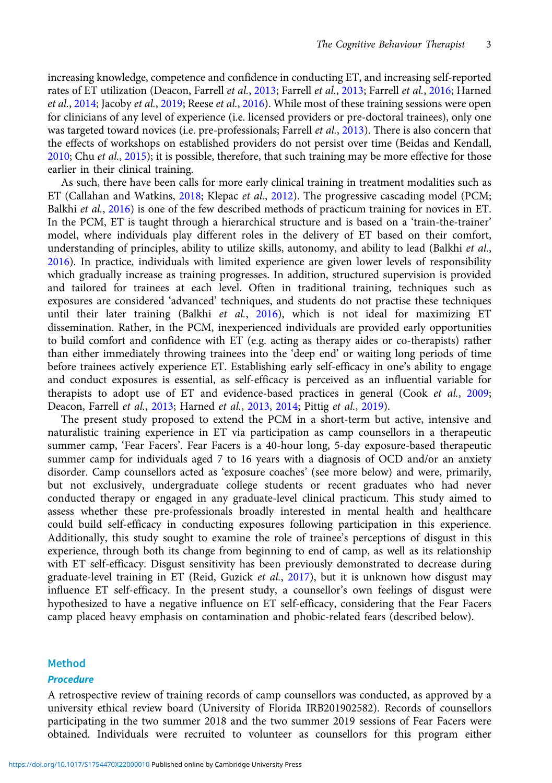increasing knowledge, competence and confidence in conducting ET, and increasing self-reported rates of ET utilization (Deacon, Farrell et al., [2013;](#page-12-0) Farrell et al., [2013](#page-13-0); Farrell et al., [2016](#page-13-0); Harned et al., [2014;](#page-13-0) Jacoby et al., [2019](#page-13-0); Reese et al., [2016](#page-14-0)). While most of these training sessions were open for clinicians of any level of experience (i.e. licensed providers or pre-doctoral trainees), only one was targeted toward novices (i.e. pre-professionals; Farrell et al., [2013](#page-13-0)). There is also concern that the effects of workshops on established providers do not persist over time (Beidas and Kendall,  $2010$ ; Chu *et al.*,  $2015$ ); it is possible, therefore, that such training may be more effective for those earlier in their clinical training.

As such, there have been calls for more early clinical training in treatment modalities such as ET (Callahan and Watkins, [2018;](#page-12-0) Klepac et al., [2012](#page-13-0)). The progressive cascading model (PCM; Balkhi et al., [2016\)](#page-12-0) is one of the few described methods of practicum training for novices in ET. In the PCM, ET is taught through a hierarchical structure and is based on a 'train-the-trainer' model, where individuals play different roles in the delivery of ET based on their comfort, understanding of principles, ability to utilize skills, autonomy, and ability to lead (Balkhi et al., [2016](#page-12-0)). In practice, individuals with limited experience are given lower levels of responsibility which gradually increase as training progresses. In addition, structured supervision is provided and tailored for trainees at each level. Often in traditional training, techniques such as exposures are considered 'advanced' techniques, and students do not practise these techniques until their later training (Balkhi et al., [2016](#page-12-0)), which is not ideal for maximizing ET dissemination. Rather, in the PCM, inexperienced individuals are provided early opportunities to build comfort and confidence with ET (e.g. acting as therapy aides or co-therapists) rather than either immediately throwing trainees into the 'deep end' or waiting long periods of time before trainees actively experience ET. Establishing early self-efficacy in one's ability to engage and conduct exposures is essential, as self-efficacy is perceived as an influential variable for therapists to adopt use of ET and evidence-based practices in general (Cook et al., [2009;](#page-12-0) Deacon, Farrell et al., [2013](#page-12-0); Harned et al., [2013,](#page-13-0) [2014](#page-13-0); Pittig et al., [2019\)](#page-14-0).

The present study proposed to extend the PCM in a short-term but active, intensive and naturalistic training experience in ET via participation as camp counsellors in a therapeutic summer camp, 'Fear Facers'. Fear Facers is a 40-hour long, 5-day exposure-based therapeutic summer camp for individuals aged 7 to 16 years with a diagnosis of OCD and/or an anxiety disorder. Camp counsellors acted as 'exposure coaches' (see more below) and were, primarily, but not exclusively, undergraduate college students or recent graduates who had never conducted therapy or engaged in any graduate-level clinical practicum. This study aimed to assess whether these pre-professionals broadly interested in mental health and healthcare could build self-efficacy in conducting exposures following participation in this experience. Additionally, this study sought to examine the role of trainee's perceptions of disgust in this experience, through both its change from beginning to end of camp, as well as its relationship with ET self-efficacy. Disgust sensitivity has been previously demonstrated to decrease during graduate-level training in ET (Reid, Guzick et al., [2017\)](#page-12-0), but it is unknown how disgust may influence ET self-efficacy. In the present study, a counsellor's own feelings of disgust were hypothesized to have a negative influence on ET self-efficacy, considering that the Fear Facers camp placed heavy emphasis on contamination and phobic-related fears (described below).

#### Method

#### **Procedure**

A retrospective review of training records of camp counsellors was conducted, as approved by a university ethical review board (University of Florida IRB201902582). Records of counsellors participating in the two summer 2018 and the two summer 2019 sessions of Fear Facers were obtained. Individuals were recruited to volunteer as counsellors for this program either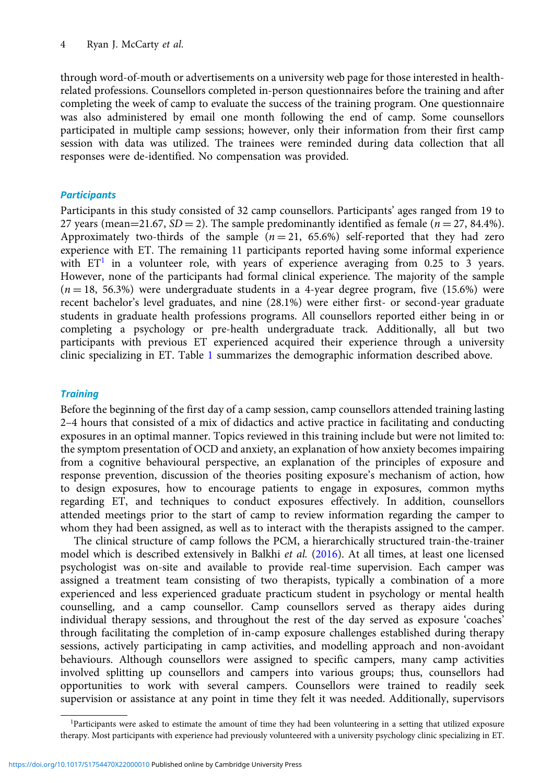through word-of-mouth or advertisements on a university web page for those interested in healthrelated professions. Counsellors completed in-person questionnaires before the training and after completing the week of camp to evaluate the success of the training program. One questionnaire was also administered by email one month following the end of camp. Some counsellors participated in multiple camp sessions; however, only their information from their first camp session with data was utilized. The trainees were reminded during data collection that all responses were de-identified. No compensation was provided.

# **Participants**

Participants in this study consisted of 32 camp counsellors. Participants' ages ranged from 19 to 27 years (mean=21.67,  $SD = 2$ ). The sample predominantly identified as female ( $n = 27, 84.4\%$ ). Approximately two-thirds of the sample  $(n = 21, 65.6%)$  self-reported that they had zero experience with ET. The remaining 11 participants reported having some informal experience with  $ET<sup>1</sup>$  in a volunteer role, with years of experience averaging from 0.25 to 3 years. However, none of the participants had formal clinical experience. The majority of the sample  $(n = 18, 56.3%)$  were undergraduate students in a 4-year degree program, five (15.6%) were recent bachelor's level graduates, and nine (28.1%) were either first- or second-year graduate students in graduate health professions programs. All counsellors reported either being in or completing a psychology or pre-health undergraduate track. Additionally, all but two participants with previous ET experienced acquired their experience through a university clinic specializing in ET. Table [1](#page-4-0) summarizes the demographic information described above.

# **Training**

Before the beginning of the first day of a camp session, camp counsellors attended training lasting 2–4 hours that consisted of a mix of didactics and active practice in facilitating and conducting exposures in an optimal manner. Topics reviewed in this training include but were not limited to: the symptom presentation of OCD and anxiety, an explanation of how anxiety becomes impairing from a cognitive behavioural perspective, an explanation of the principles of exposure and response prevention, discussion of the theories positing exposure's mechanism of action, how to design exposures, how to encourage patients to engage in exposures, common myths regarding ET, and techniques to conduct exposures effectively. In addition, counsellors attended meetings prior to the start of camp to review information regarding the camper to whom they had been assigned, as well as to interact with the therapists assigned to the camper.

The clinical structure of camp follows the PCM, a hierarchically structured train-the-trainer model which is described extensively in Balkhi et al. [\(2016\)](#page-12-0). At all times, at least one licensed psychologist was on-site and available to provide real-time supervision. Each camper was assigned a treatment team consisting of two therapists, typically a combination of a more experienced and less experienced graduate practicum student in psychology or mental health counselling, and a camp counsellor. Camp counsellors served as therapy aides during individual therapy sessions, and throughout the rest of the day served as exposure 'coaches' through facilitating the completion of in-camp exposure challenges established during therapy sessions, actively participating in camp activities, and modelling approach and non-avoidant behaviours. Although counsellors were assigned to specific campers, many camp activities involved splitting up counsellors and campers into various groups; thus, counsellors had opportunities to work with several campers. Counsellors were trained to readily seek supervision or assistance at any point in time they felt it was needed. Additionally, supervisors

<sup>1</sup> Participants were asked to estimate the amount of time they had been volunteering in a setting that utilized exposure therapy. Most participants with experience had previously volunteered with a university psychology clinic specializing in ET.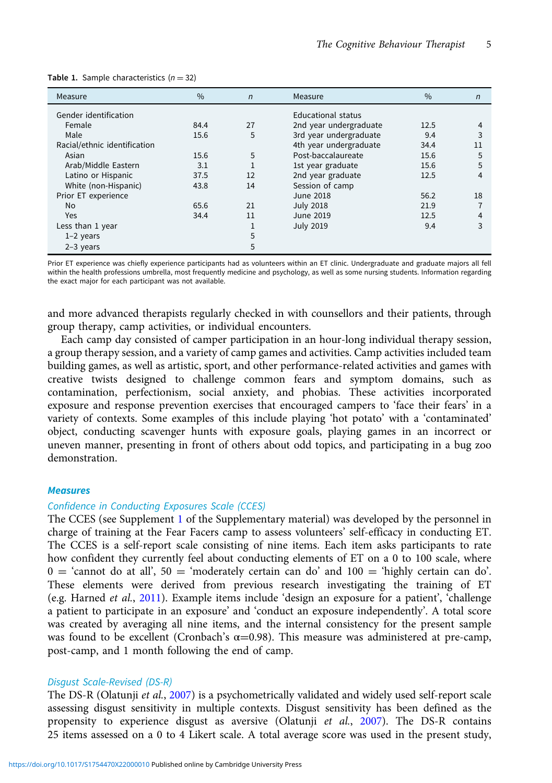| Measure                      | $\%$ | $\mathsf{n}$ | Measure                   | $\%$ | $\mathsf{n}$ |
|------------------------------|------|--------------|---------------------------|------|--------------|
| Gender identification        |      |              | <b>Educational status</b> |      |              |
| Female                       | 84.4 | 27           | 2nd year undergraduate    | 12.5 | 4            |
| Male                         | 15.6 | 5            | 3rd year undergraduate    | 9.4  | 3            |
| Racial/ethnic identification |      |              | 4th year undergraduate    | 34.4 | 11           |
| Asian                        | 15.6 | 5            | Post-baccalaureate        | 15.6 | 5            |
| Arab/Middle Eastern          | 3.1  |              | 1st year graduate         | 15.6 | 5            |
| Latino or Hispanic           | 37.5 | 12           | 2nd year graduate         | 12.5 | 4            |
| White (non-Hispanic)         | 43.8 | 14           | Session of camp           |      |              |
| Prior ET experience          |      |              | June 2018                 | 56.2 | 18           |
| No                           | 65.6 | 21           | <b>July 2018</b>          | 21.9 |              |
| <b>Yes</b>                   | 34.4 | 11           | June 2019                 | 12.5 | 4            |
| Less than 1 year             |      | 1            | <b>July 2019</b>          | 9.4  | 3            |
| $1-2$ years                  |      | 5            |                           |      |              |
| $2-3$ years                  |      | 5            |                           |      |              |

<span id="page-4-0"></span>

|  |  | Table 1. Sample characteristics $(n = 32)$ |  |
|--|--|--------------------------------------------|--|
|--|--|--------------------------------------------|--|

Prior ET experience was chiefly experience participants had as volunteers within an ET clinic. Undergraduate and graduate majors all fell within the health professions umbrella, most frequently medicine and psychology, as well as some nursing students. Information regarding the exact major for each participant was not available.

and more advanced therapists regularly checked in with counsellors and their patients, through group therapy, camp activities, or individual encounters.

Each camp day consisted of camper participation in an hour-long individual therapy session, a group therapy session, and a variety of camp games and activities. Camp activities included team building games, as well as artistic, sport, and other performance-related activities and games with creative twists designed to challenge common fears and symptom domains, such as contamination, perfectionism, social anxiety, and phobias. These activities incorporated exposure and response prevention exercises that encouraged campers to 'face their fears' in a variety of contexts. Some examples of this include playing 'hot potato' with a 'contaminated' object, conducting scavenger hunts with exposure goals, playing games in an incorrect or uneven manner, presenting in front of others about odd topics, and participating in a bug zoo demonstration.

### **Measures**

#### Confidence in Conducting Exposures Scale (CCES)

The CCES (see Supplement [1](https://doi.org/10.1017/S1754470X22000010) of the Supplementary material) was developed by the personnel in charge of training at the Fear Facers camp to assess volunteers' self-efficacy in conducting ET. The CCES is a self-report scale consisting of nine items. Each item asks participants to rate how confident they currently feel about conducting elements of ET on a 0 to 100 scale, where  $0 = 'cannot$  do at all',  $50 = 'moderately$  certain can do' and  $100 = 'highly$  certain can do'. These elements were derived from previous research investigating the training of ET (e.g. Harned et al., [2011](#page-13-0)). Example items include 'design an exposure for a patient', 'challenge a patient to participate in an exposure' and 'conduct an exposure independently'. A total score was created by averaging all nine items, and the internal consistency for the present sample was found to be excellent (Cronbach's  $\alpha$ =0.98). This measure was administered at pre-camp, post-camp, and 1 month following the end of camp.

## Disgust Scale-Revised (DS-R)

The DS-R (Olatunji *et al.*, [2007\)](#page-13-0) is a psychometrically validated and widely used self-report scale assessing disgust sensitivity in multiple contexts. Disgust sensitivity has been defined as the propensity to experience disgust as aversive (Olatunji et al.,  $2007$ ). The DS-R contains 25 items assessed on a 0 to 4 Likert scale. A total average score was used in the present study,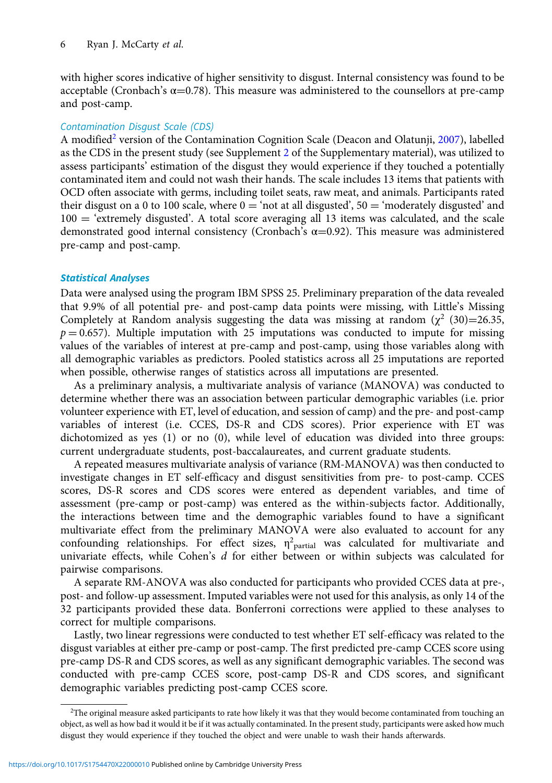with higher scores indicative of higher sensitivity to disgust. Internal consistency was found to be acceptable (Cronbach's  $\alpha$ =0.78). This measure was administered to the counsellors at pre-camp and post-camp.

# Contamination Disgust Scale (CDS)

A modified<sup>2</sup> version of the Contamination Cognition Scale (Deacon and Olatunji, [2007](#page-12-0)), labelled as the CDS in the present study (see Supplement [2](https://doi.org/10.1017/S1754470X22000010) of the Supplementary material), was utilized to assess participants' estimation of the disgust they would experience if they touched a potentially contaminated item and could not wash their hands. The scale includes 13 items that patients with OCD often associate with germs, including toilet seats, raw meat, and animals. Participants rated their disgust on a 0 to 100 scale, where  $0 = \text{'not}$  at all disgusted', 50 = 'moderately disgusted' and 100 = 'extremely disgusted'. A total score averaging all 13 items was calculated, and the scale demonstrated good internal consistency (Cronbach's  $\alpha$ =0.92). This measure was administered pre-camp and post-camp.

#### Statistical Analyses

Data were analysed using the program IBM SPSS 25. Preliminary preparation of the data revealed that 9.9% of all potential pre- and post-camp data points were missing, with Little's Missing Completely at Random analysis suggesting the data was missing at random  $(\chi^2)(30)=26.35$ ,  $p = 0.657$ ). Multiple imputation with 25 imputations was conducted to impute for missing values of the variables of interest at pre-camp and post-camp, using those variables along with all demographic variables as predictors. Pooled statistics across all 25 imputations are reported when possible, otherwise ranges of statistics across all imputations are presented.

As a preliminary analysis, a multivariate analysis of variance (MANOVA) was conducted to determine whether there was an association between particular demographic variables (i.e. prior volunteer experience with ET, level of education, and session of camp) and the pre- and post-camp variables of interest (i.e. CCES, DS-R and CDS scores). Prior experience with ET was dichotomized as yes (1) or no (0), while level of education was divided into three groups: current undergraduate students, post-baccalaureates, and current graduate students.

A repeated measures multivariate analysis of variance (RM-MANOVA) was then conducted to investigate changes in ET self-efficacy and disgust sensitivities from pre- to post-camp. CCES scores, DS-R scores and CDS scores were entered as dependent variables, and time of assessment (pre-camp or post-camp) was entered as the within-subjects factor. Additionally, the interactions between time and the demographic variables found to have a significant multivariate effect from the preliminary MANOVA were also evaluated to account for any confounding relationships. For effect sizes,  $\eta^2$ <sub>partial</sub> was calculated for multivariate and univariate effects, while Cohen's d for either between or within subjects was calculated for pairwise comparisons.

A separate RM-ANOVA was also conducted for participants who provided CCES data at pre-, post- and follow-up assessment. Imputed variables were not used for this analysis, as only 14 of the 32 participants provided these data. Bonferroni corrections were applied to these analyses to correct for multiple comparisons.

Lastly, two linear regressions were conducted to test whether ET self-efficacy was related to the disgust variables at either pre-camp or post-camp. The first predicted pre-camp CCES score using pre-camp DS-R and CDS scores, as well as any significant demographic variables. The second was conducted with pre-camp CCES score, post-camp DS-R and CDS scores, and significant demographic variables predicting post-camp CCES score.

<sup>&</sup>lt;sup>2</sup>The original measure asked participants to rate how likely it was that they would become contaminated from touching an object, as well as how bad it would it be if it was actually contaminated. In the present study, participants were asked how much disgust they would experience if they touched the object and were unable to wash their hands afterwards.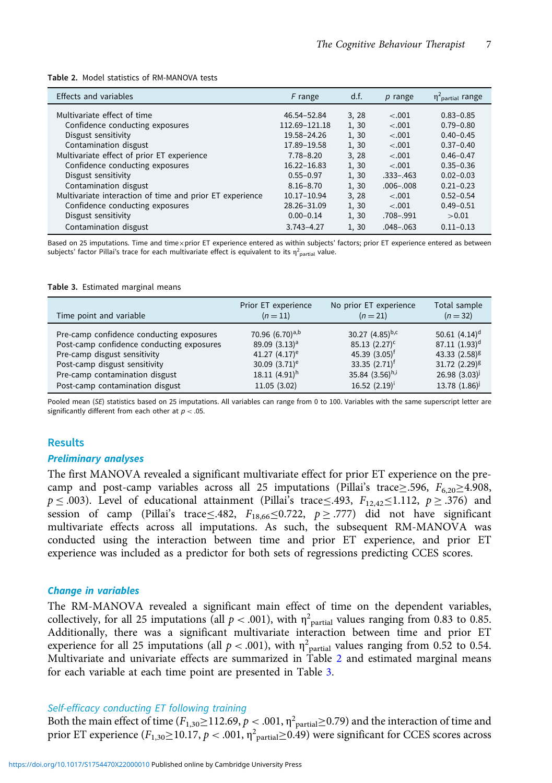| <b>Effects and variables</b>                             | F range        | d.f.  | $p$ range     | $\eta^2$ <sub>partial</sub> range |
|----------------------------------------------------------|----------------|-------|---------------|-----------------------------------|
| Multivariate effect of time                              | 46.54-52.84    | 3, 28 | $-.001$       | $0.83 - 0.85$                     |
| Confidence conducting exposures                          | 112.69-121.18  | 1,30  | $-.001$       | $0.79 - 0.80$                     |
| Disgust sensitivity                                      | 19.58-24.26    | 1, 30 | $-.001$       | $0.40 - 0.45$                     |
| Contamination disgust                                    | 17.89-19.58    | 1,30  | $-.001$       | $0.37 - 0.40$                     |
| Multivariate effect of prior ET experience               | $7.78 - 8.20$  | 3, 28 | $-.001$       | $0.46 - 0.47$                     |
| Confidence conducting exposures                          | 16.22-16.83    | 1, 30 | $-.001$       | $0.35 - 0.36$                     |
| Disgust sensitivity                                      | $0.55 - 0.97$  | 1,30  | $.333 - .463$ | $0.02 - 0.03$                     |
| Contamination disgust                                    | $8.16 - 8.70$  | 1,30  | $.006 - .008$ | $0.21 - 0.23$                     |
| Multivariate interaction of time and prior ET experience | 10.17-10.94    | 3, 28 | $-.001$       | $0.52 - 0.54$                     |
| Confidence conducting exposures                          | 28.26-31.09    | 1, 30 | $-.001$       | $0.49 - 0.51$                     |
| Disgust sensitivity                                      | $0.00 - 0.14$  | 1, 30 | .708-.991     | >0.01                             |
| Contamination disgust                                    | $3.743 - 4.27$ | 1, 30 | $.048 - .063$ | $0.11 - 0.13$                     |

Table 2. Model statistics of RM-MANOVA tests

Based on 25 imputations. Time and time×prior ET experience entered as within subjects' factors; prior ET experience entered as between subjects' factor Pillai's trace for each multivariate effect is equivalent to its  $\eta^2{}_{\sf partial}$  value.

#### Table 3. Estimated marginal means

| Time point and variable                   | Prior ET experience       | No prior ET experience      | Total sample      |
|-------------------------------------------|---------------------------|-----------------------------|-------------------|
|                                           | $(n=11)$                  | $(n=21)$                    | $(n=32)$          |
| Pre-camp confidence conducting exposures  | 70.96 $(6.70)^{a,b}$      | 30.27 $(4.85)^{b,c}$        | 50.61 $(4.14)^d$  |
| Post-camp confidence conducting exposures | 89.09 (3.13) <sup>a</sup> | $85.13(2.27)^c$             | 87.11 $(1.93)^d$  |
| Pre-camp disgust sensitivity              | 41.27 $(4.17)^e$          | 45.39 $(3.05)^{\dagger}$    | 43.33 $(2.58)^g$  |
| Post-camp disgust sensitivity             | 30.09 $(3.71)^e$          | 33.35 $(2.71)$ <sup>†</sup> | 31.72 $(2.29)^g$  |
| Pre-camp contamination disgust            | 18.11 $(4.91)^h$          | 35.84 $(3.56)^{h,i}$        | $26.98(3.03)^{j}$ |
| Post-camp contamination disgust           | 11.05 (3.02)              | 16.52 $(2.19)^{i}$          | 13.78(1.86)       |

Pooled mean (SE) statistics based on 25 imputations. All variables can range from 0 to 100. Variables with the same superscript letter are significantly different from each other at  $p < .05$ .

### **Results**

## Preliminary analyses

The first MANOVA revealed a significant multivariate effect for prior ET experience on the precamp and post-camp variables across all 25 imputations (Pillai's trace≥.596,  $F_{6,20} \ge 4.908$ ,  $p \leq 0.003$ ). Level of educational attainment (Pillai's trace≤.493,  $F_{12,42} \leq 1.112$ ,  $p \geq 0.376$ ) and session of camp (Pillai's trace≤.482,  $F_{18,66} \le 0.722$ ,  $p \ge .777$ ) did not have significant multivariate effects across all imputations. As such, the subsequent RM-MANOVA was conducted using the interaction between time and prior ET experience, and prior ET experience was included as a predictor for both sets of regressions predicting CCES scores.

#### Change in variables

The RM-MANOVA revealed a significant main effect of time on the dependent variables, collectively, for all 25 imputations (all  $p < .001$ ), with  $\eta^2$ <sub>partial</sub> values ranging from 0.83 to 0.85. Additionally, there was a significant multivariate interaction between time and prior ET experience for all 25 imputations (all  $p < .001$ ), with  $\eta^2$ <sub>partial</sub> values ranging from 0.52 to 0.54. Multivariate and univariate effects are summarized in Table 2 and estimated marginal means for each variable at each time point are presented in Table 3.

# Self-efficacy conducting ET following training

Both the main effect of time  $(F_{1,30} \ge 112.69, p < .001, \eta^2$  partial≥0.79) and the interaction of time and prior ET experience  $(F_{1,30} \ge 10.17, p < .001, \eta^2_{\text{partial}} \ge 0.49)$  were significant for CCES scores across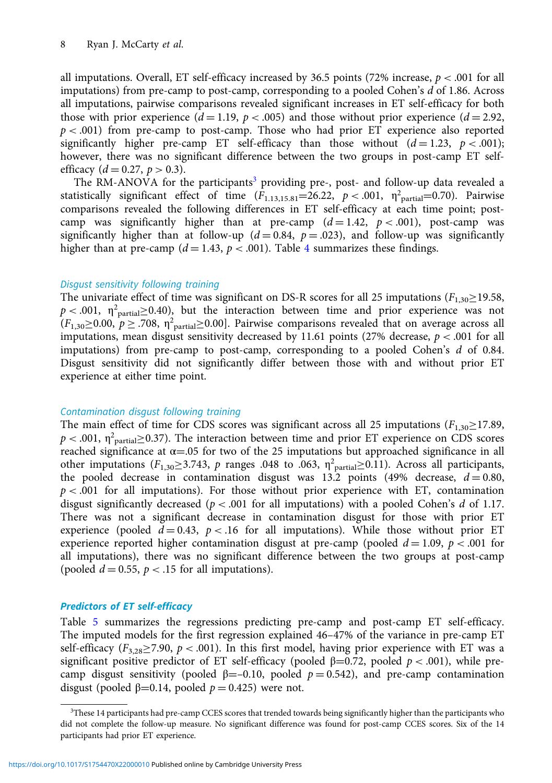all imputations. Overall, ET self-efficacy increased by 36.5 points (72% increase,  $p < .001$  for all imputations) from pre-camp to post-camp, corresponding to a pooled Cohen's  $d$  of 1.86. Across all imputations, pairwise comparisons revealed significant increases in ET self-efficacy for both those with prior experience  $(d = 1.19, p < .005)$  and those without prior experience  $(d = 2.92,$  $p < .001$ ) from pre-camp to post-camp. Those who had prior ET experience also reported significantly higher pre-camp ET self-efficacy than those without  $(d=1.23, p<.001)$ ; however, there was no significant difference between the two groups in post-camp ET selfefficacy ( $d = 0.27$ ,  $p > 0.3$ ).

The RM-ANOVA for the participants<sup>3</sup> providing pre-, post- and follow-up data revealed a statistically significant effect of time  $(F_{1.13,15.81} = 26.22, p < .001, \eta^2$ <sub>partial</sub>=0.70). Pairwise comparisons revealed the following differences in ET self-efficacy at each time point; postcamp was significantly higher than at pre-camp  $(d=1.42, p < .001)$ , post-camp was significantly higher than at follow-up ( $d = 0.84$ ,  $p = .023$ ), and follow-up was significantly higher than at pre-camp ( $d = 1.43$  $d = 1.43$  $d = 1.43$ ,  $p < .001$ ). Table 4 summarizes these findings.

## Disgust sensitivity following training

The univariate effect of time was significant on DS-R scores for all 25 imputations ( $F_{1,30} \ge 19.58$ ,  $p < .001$ ,  $\eta^2$ <sub>partial</sub>  $\ge 0.40$ ), but the interaction between time and prior experience was not  $(F_{1,30} \ge 0.00, p \ge .708, \eta^2_{\text{partial}} \ge 0.00]$ . Pairwise comparisons revealed that on average across all imputations, mean disgust sensitivity decreased by 11.61 points (27% decrease,  $p < .001$  for all imputations) from pre-camp to post-camp, corresponding to a pooled Cohen's d of 0.84. Disgust sensitivity did not significantly differ between those with and without prior ET experience at either time point.

#### Contamination disgust following training

The main effect of time for CDS scores was significant across all 25 imputations ( $F_{1,30} \ge 17.89$ ,  $p < .001$ ,  $\eta^2$ <sub>partial</sub>  $\geq$  0.37). The interaction between time and prior ET experience on CDS scores reached significance at  $\alpha$ =.05 for two of the 25 imputations but approached significance in all other imputations ( $F_{1,30} \geq 3.743$ , p ranges .048 to .063,  $\eta^2$ <sub>partial</sub>  $\geq$  0.11). Across all participants, the pooled decrease in contamination disgust was 13.2 points (49% decrease,  $d = 0.80$ ,  $p < .001$  for all imputations). For those without prior experience with ET, contamination disgust significantly decreased ( $p < .001$  for all imputations) with a pooled Cohen's d of 1.17. There was not a significant decrease in contamination disgust for those with prior ET experience (pooled  $d = 0.43$ ,  $p < 0.16$  for all imputations). While those without prior ET experience reported higher contamination disgust at pre-camp (pooled  $d = 1.09$ ,  $p < .001$  for all imputations), there was no significant difference between the two groups at post-camp (pooled  $d = 0.55$ ,  $p < 0.15$  for all imputations).

#### Predictors of ET self-efficacy

Table [5](#page-8-0) summarizes the regressions predicting pre-camp and post-camp ET self-efficacy. The imputed models for the first regression explained 46–47% of the variance in pre-camp ET self-efficacy ( $F_{3,28}$ >7.90, p < .001). In this first model, having prior experience with ET was a significant positive predictor of ET self-efficacy (pooled  $\beta$ =0.72, pooled  $p < .001$ ), while precamp disgust sensitivity (pooled  $\beta = -0.10$ , pooled  $p = 0.542$ ), and pre-camp contamination disgust (pooled β=0.14, pooled  $p = 0.425$ ) were not.

<sup>&</sup>lt;sup>3</sup>These 14 participants had pre-camp CCES scores that trended towards being significantly higher than the participants who did not complete the follow-up measure. No significant difference was found for post-camp CCES scores. Six of the 14 participants had prior ET experience.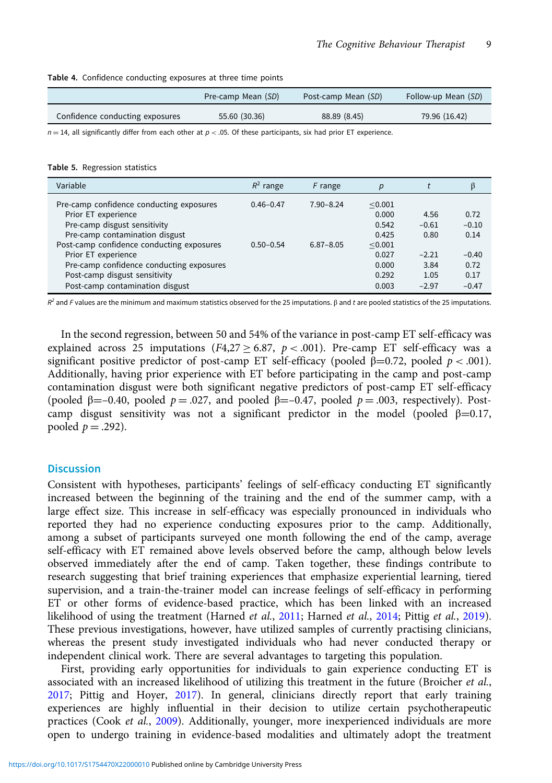<span id="page-8-0"></span>

|                                 | Pre-camp Mean (SD) | Post-camp Mean (SD) | Follow-up Mean (SD) |  |
|---------------------------------|--------------------|---------------------|---------------------|--|
| Confidence conducting exposures | 55.60 (30.36)      | 88.89 (8.45)        | 79.96 (16.42)       |  |

 $n = 14$ , all significantly differ from each other at  $p < .05$ . Of these participants, six had prior ET experience.

Table 5. Regression statistics

| Variable                                                                                                                                       | $R^2$ range   | F range       | р                                  |                         | β                       |
|------------------------------------------------------------------------------------------------------------------------------------------------|---------------|---------------|------------------------------------|-------------------------|-------------------------|
| Pre-camp confidence conducting exposures<br>Prior ET experience<br>Pre-camp disgust sensitivity                                                | $0.46 - 0.47$ | $7.90 - 8.24$ | < 0.001<br>0.000<br>0.542          | 4.56<br>$-0.61$         | 0.72<br>$-0.10$         |
| Pre-camp contamination disgust<br>Post-camp confidence conducting exposures<br>Prior ET experience<br>Pre-camp confidence conducting exposures | $0.50 - 0.54$ | $6.87 - 8.05$ | 0.425<br>< 0.001<br>0.027<br>0.000 | 0.80<br>$-2.21$<br>3.84 | 0.14<br>$-0.40$<br>0.72 |
| Post-camp disgust sensitivity<br>Post-camp contamination disgust                                                                               |               |               | 0.292<br>0.003                     | 1.05<br>$-2.97$         | 0.17<br>$-0.47$         |

 $R^2$  and F values are the minimum and maximum statistics observed for the 25 imputations. β and t are pooled statistics of the 25 imputations.

In the second regression, between 50 and 54% of the variance in post-camp ET self-efficacy was explained across 25 imputations ( $F4,27 \ge 6.87$ ,  $p < .001$ ). Pre-camp ET self-efficacy was a significant positive predictor of post-camp ET self-efficacy (pooled  $\beta$ =0.72, pooled  $p$  < .001). Additionally, having prior experience with ET before participating in the camp and post-camp contamination disgust were both significant negative predictors of post-camp ET self-efficacy (pooled  $\beta = -0.40$ , pooled  $p = .027$ , and pooled  $\beta = -0.47$ , pooled  $p = .003$ , respectively). Postcamp disgust sensitivity was not a significant predictor in the model (pooled  $\beta=0.17$ , pooled  $p = .292$ ).

# **Discussion**

Consistent with hypotheses, participants' feelings of self-efficacy conducting ET significantly increased between the beginning of the training and the end of the summer camp, with a large effect size. This increase in self-efficacy was especially pronounced in individuals who reported they had no experience conducting exposures prior to the camp. Additionally, among a subset of participants surveyed one month following the end of the camp, average self-efficacy with ET remained above levels observed before the camp, although below levels observed immediately after the end of camp. Taken together, these findings contribute to research suggesting that brief training experiences that emphasize experiential learning, tiered supervision, and a train-the-trainer model can increase feelings of self-efficacy in performing ET or other forms of evidence-based practice, which has been linked with an increased likelihood of using the treatment (Harned *et al.*, [2011;](#page-13-0) Harned *et al.*, [2014;](#page-13-0) Pittig *et al.*, [2019](#page-14-0)). These previous investigations, however, have utilized samples of currently practising clinicians, whereas the present study investigated individuals who had never conducted therapy or independent clinical work. There are several advantages to targeting this population.

First, providing early opportunities for individuals to gain experience conducting ET is associated with an increased likelihood of utilizing this treatment in the future (Broicher et al., [2017](#page-12-0); Pittig and Hoyer, [2017](#page-13-0)). In general, clinicians directly report that early training experiences are highly influential in their decision to utilize certain psychotherapeutic practices (Cook et al., [2009\)](#page-12-0). Additionally, younger, more inexperienced individuals are more open to undergo training in evidence-based modalities and ultimately adopt the treatment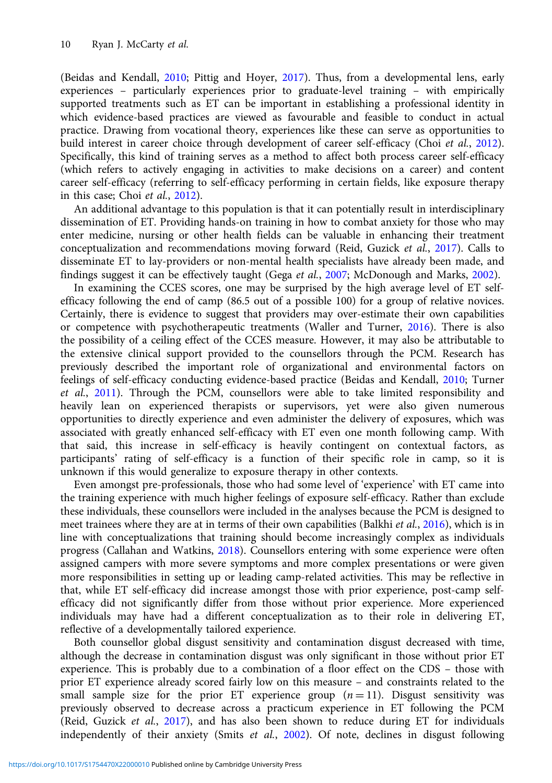(Beidas and Kendall, [2010;](#page-12-0) Pittig and Hoyer, [2017\)](#page-13-0). Thus, from a developmental lens, early experiences – particularly experiences prior to graduate-level training – with empirically supported treatments such as ET can be important in establishing a professional identity in which evidence-based practices are viewed as favourable and feasible to conduct in actual practice. Drawing from vocational theory, experiences like these can serve as opportunities to build interest in career choice through development of career self-efficacy (Choi et al., [2012\)](#page-12-0). Specifically, this kind of training serves as a method to affect both process career self-efficacy (which refers to actively engaging in activities to make decisions on a career) and content career self-efficacy (referring to self-efficacy performing in certain fields, like exposure therapy in this case; Choi et al., [2012](#page-12-0)).

An additional advantage to this population is that it can potentially result in interdisciplinary dissemination of ET. Providing hands-on training in how to combat anxiety for those who may enter medicine, nursing or other health fields can be valuable in enhancing their treatment conceptualization and recommendations moving forward (Reid, Guzick et al., [2017](#page-12-0)). Calls to disseminate ET to lay-providers or non-mental health specialists have already been made, and findings suggest it can be effectively taught (Gega *et al.*, [2007](#page-13-0); McDonough and Marks, [2002\)](#page-13-0).

In examining the CCES scores, one may be surprised by the high average level of ET selfefficacy following the end of camp (86.5 out of a possible 100) for a group of relative novices. Certainly, there is evidence to suggest that providers may over-estimate their own capabilities or competence with psychotherapeutic treatments (Waller and Turner, [2016](#page-14-0)). There is also the possibility of a ceiling effect of the CCES measure. However, it may also be attributable to the extensive clinical support provided to the counsellors through the PCM. Research has previously described the important role of organizational and environmental factors on feelings of self-efficacy conducting evidence-based practice (Beidas and Kendall, [2010;](#page-12-0) Turner et al., [2011](#page-14-0)). Through the PCM, counsellors were able to take limited responsibility and heavily lean on experienced therapists or supervisors, yet were also given numerous opportunities to directly experience and even administer the delivery of exposures, which was associated with greatly enhanced self-efficacy with ET even one month following camp. With that said, this increase in self-efficacy is heavily contingent on contextual factors, as participants' rating of self-efficacy is a function of their specific role in camp, so it is unknown if this would generalize to exposure therapy in other contexts.

Even amongst pre-professionals, those who had some level of 'experience' with ET came into the training experience with much higher feelings of exposure self-efficacy. Rather than exclude these individuals, these counsellors were included in the analyses because the PCM is designed to meet trainees where they are at in terms of their own capabilities (Balkhi et al., [2016\)](#page-12-0), which is in line with conceptualizations that training should become increasingly complex as individuals progress (Callahan and Watkins, [2018](#page-12-0)). Counsellors entering with some experience were often assigned campers with more severe symptoms and more complex presentations or were given more responsibilities in setting up or leading camp-related activities. This may be reflective in that, while ET self-efficacy did increase amongst those with prior experience, post-camp selfefficacy did not significantly differ from those without prior experience. More experienced individuals may have had a different conceptualization as to their role in delivering ET, reflective of a developmentally tailored experience.

Both counsellor global disgust sensitivity and contamination disgust decreased with time, although the decrease in contamination disgust was only significant in those without prior ET experience. This is probably due to a combination of a floor effect on the CDS – those with prior ET experience already scored fairly low on this measure – and constraints related to the small sample size for the prior ET experience group  $(n = 11)$ . Disgust sensitivity was previously observed to decrease across a practicum experience in ET following the PCM (Reid, Guzick et al., [2017](#page-12-0)), and has also been shown to reduce during ET for individuals independently of their anxiety (Smits et al., [2002](#page-14-0)). Of note, declines in disgust following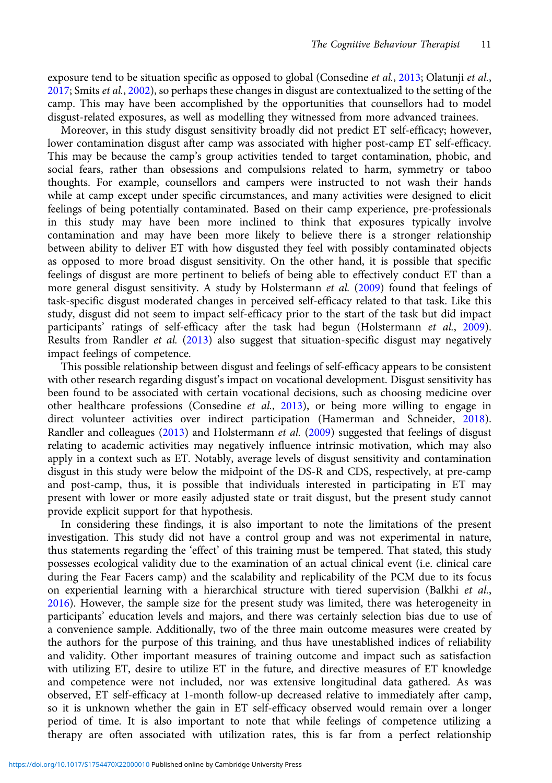exposure tend to be situation specific as opposed to global (Consedine *et al.*, [2013](#page-12-0); Olatunii *et al.*, [2017](#page-13-0); Smits et al., [2002](#page-14-0)), so perhaps these changes in disgust are contextualized to the setting of the camp. This may have been accomplished by the opportunities that counsellors had to model disgust-related exposures, as well as modelling they witnessed from more advanced trainees.

Moreover, in this study disgust sensitivity broadly did not predict ET self-efficacy; however, lower contamination disgust after camp was associated with higher post-camp ET self-efficacy. This may be because the camp's group activities tended to target contamination, phobic, and social fears, rather than obsessions and compulsions related to harm, symmetry or taboo thoughts. For example, counsellors and campers were instructed to not wash their hands while at camp except under specific circumstances, and many activities were designed to elicit feelings of being potentially contaminated. Based on their camp experience, pre-professionals in this study may have been more inclined to think that exposures typically involve contamination and may have been more likely to believe there is a stronger relationship between ability to deliver ET with how disgusted they feel with possibly contaminated objects as opposed to more broad disgust sensitivity. On the other hand, it is possible that specific feelings of disgust are more pertinent to beliefs of being able to effectively conduct ET than a more general disgust sensitivity. A study by Holstermann et al. [\(2009\)](#page-13-0) found that feelings of task-specific disgust moderated changes in perceived self-efficacy related to that task. Like this study, disgust did not seem to impact self-efficacy prior to the start of the task but did impact participants' ratings of self-efficacy after the task had begun (Holstermann et al., [2009](#page-13-0)). Results from Randler et al. ([2013](#page-14-0)) also suggest that situation-specific disgust may negatively impact feelings of competence.

This possible relationship between disgust and feelings of self-efficacy appears to be consistent with other research regarding disgust's impact on vocational development. Disgust sensitivity has been found to be associated with certain vocational decisions, such as choosing medicine over other healthcare professions (Consedine et al., [2013\)](#page-12-0), or being more willing to engage in direct volunteer activities over indirect participation (Hamerman and Schneider, [2018](#page-13-0)). Randler and colleagues [\(2013](#page-14-0)) and Holstermann et al. ([2009\)](#page-13-0) suggested that feelings of disgust relating to academic activities may negatively influence intrinsic motivation, which may also apply in a context such as ET. Notably, average levels of disgust sensitivity and contamination disgust in this study were below the midpoint of the DS-R and CDS, respectively, at pre-camp and post-camp, thus, it is possible that individuals interested in participating in ET may present with lower or more easily adjusted state or trait disgust, but the present study cannot provide explicit support for that hypothesis.

In considering these findings, it is also important to note the limitations of the present investigation. This study did not have a control group and was not experimental in nature, thus statements regarding the 'effect' of this training must be tempered. That stated, this study possesses ecological validity due to the examination of an actual clinical event (i.e. clinical care during the Fear Facers camp) and the scalability and replicability of the PCM due to its focus on experiential learning with a hierarchical structure with tiered supervision (Balkhi et al., [2016](#page-12-0)). However, the sample size for the present study was limited, there was heterogeneity in participants' education levels and majors, and there was certainly selection bias due to use of a convenience sample. Additionally, two of the three main outcome measures were created by the authors for the purpose of this training, and thus have unestablished indices of reliability and validity. Other important measures of training outcome and impact such as satisfaction with utilizing ET, desire to utilize ET in the future, and directive measures of ET knowledge and competence were not included, nor was extensive longitudinal data gathered. As was observed, ET self-efficacy at 1-month follow-up decreased relative to immediately after camp, so it is unknown whether the gain in ET self-efficacy observed would remain over a longer period of time. It is also important to note that while feelings of competence utilizing a therapy are often associated with utilization rates, this is far from a perfect relationship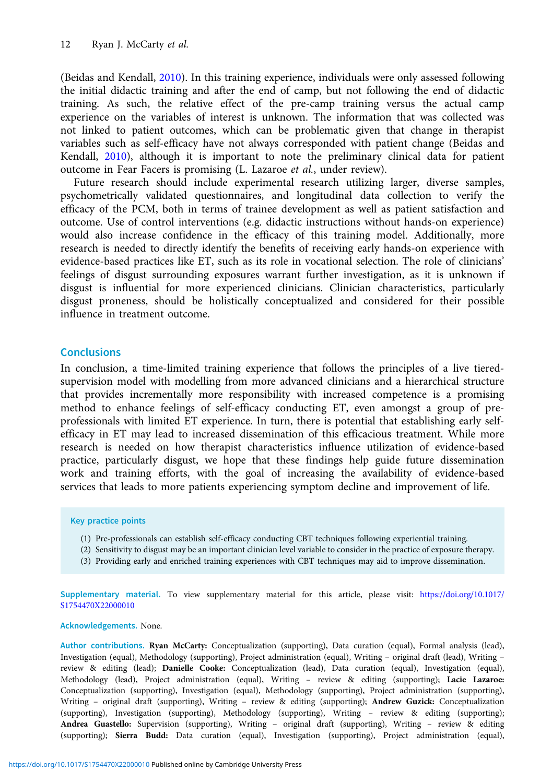(Beidas and Kendall, [2010\)](#page-12-0). In this training experience, individuals were only assessed following the initial didactic training and after the end of camp, but not following the end of didactic training. As such, the relative effect of the pre-camp training versus the actual camp experience on the variables of interest is unknown. The information that was collected was not linked to patient outcomes, which can be problematic given that change in therapist variables such as self-efficacy have not always corresponded with patient change (Beidas and Kendall, [2010](#page-12-0)), although it is important to note the preliminary clinical data for patient outcome in Fear Facers is promising (L. Lazaroe et al., under review).

Future research should include experimental research utilizing larger, diverse samples, psychometrically validated questionnaires, and longitudinal data collection to verify the efficacy of the PCM, both in terms of trainee development as well as patient satisfaction and outcome. Use of control interventions (e.g. didactic instructions without hands-on experience) would also increase confidence in the efficacy of this training model. Additionally, more research is needed to directly identify the benefits of receiving early hands-on experience with evidence-based practices like ET, such as its role in vocational selection. The role of clinicians' feelings of disgust surrounding exposures warrant further investigation, as it is unknown if disgust is influential for more experienced clinicians. Clinician characteristics, particularly disgust proneness, should be holistically conceptualized and considered for their possible influence in treatment outcome.

# **Conclusions**

In conclusion, a time-limited training experience that follows the principles of a live tieredsupervision model with modelling from more advanced clinicians and a hierarchical structure that provides incrementally more responsibility with increased competence is a promising method to enhance feelings of self-efficacy conducting ET, even amongst a group of preprofessionals with limited ET experience. In turn, there is potential that establishing early selfefficacy in ET may lead to increased dissemination of this efficacious treatment. While more research is needed on how therapist characteristics influence utilization of evidence-based practice, particularly disgust, we hope that these findings help guide future dissemination work and training efforts, with the goal of increasing the availability of evidence-based services that leads to more patients experiencing symptom decline and improvement of life.

## Key practice points

- (1) Pre-professionals can establish self-efficacy conducting CBT techniques following experiential training.
- (2) Sensitivity to disgust may be an important clinician level variable to consider in the practice of exposure therapy.
- (3) Providing early and enriched training experiences with CBT techniques may aid to improve dissemination.

Supplementary material. To view supplementary material for this article, please visit: [https://doi.org/10.1017/](https://doi.org/10.1017/S1754470X22000010) [S1754470X22000010](https://doi.org/10.1017/S1754470X22000010)

#### Acknowledgements. None.

Author contributions. Ryan McCarty: Conceptualization (supporting), Data curation (equal), Formal analysis (lead), Investigation (equal), Methodology (supporting), Project administration (equal), Writing – original draft (lead), Writing – review & editing (lead); Danielle Cooke: Conceptualization (lead), Data curation (equal), Investigation (equal), Methodology (lead), Project administration (equal), Writing – review & editing (supporting); Lacie Lazaroe: Conceptualization (supporting), Investigation (equal), Methodology (supporting), Project administration (supporting), Writing – original draft (supporting), Writing – review & editing (supporting); Andrew Guzick: Conceptualization (supporting), Investigation (supporting), Methodology (supporting), Writing – review & editing (supporting); Andrea Guastello: Supervision (supporting), Writing – original draft (supporting), Writing – review & editing (supporting); Sierra Budd: Data curation (equal), Investigation (supporting), Project administration (equal),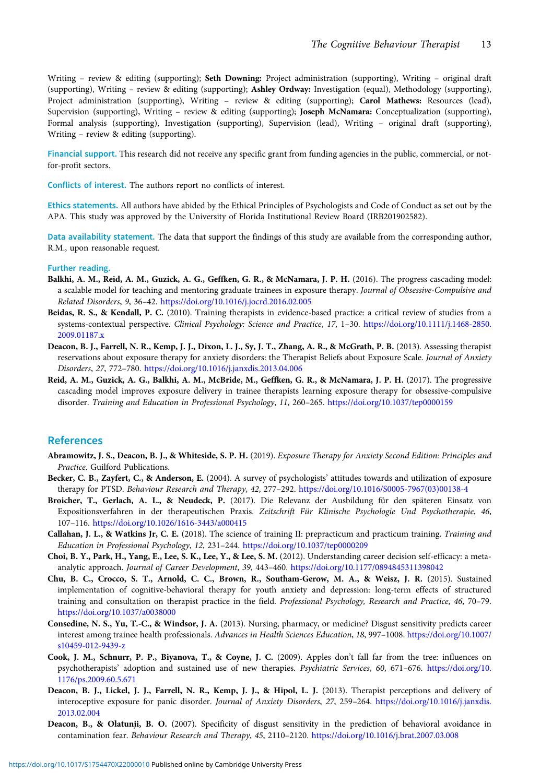<span id="page-12-0"></span>Writing – review & editing (supporting); Seth Downing: Project administration (supporting), Writing – original draft (supporting), Writing – review & editing (supporting); Ashley Ordway: Investigation (equal), Methodology (supporting), Project administration (supporting), Writing - review & editing (supporting); Carol Mathews: Resources (lead), Supervision (supporting), Writing – review & editing (supporting); Joseph McNamara: Conceptualization (supporting), Formal analysis (supporting), Investigation (supporting), Supervision (lead), Writing – original draft (supporting), Writing – review & editing (supporting).

Financial support. This research did not receive any specific grant from funding agencies in the public, commercial, or notfor-profit sectors.

Conflicts of interest. The authors report no conflicts of interest.

Ethics statements. All authors have abided by the Ethical Principles of Psychologists and Code of Conduct as set out by the APA. This study was approved by the University of Florida Institutional Review Board (IRB201902582).

Data availability statement. The data that support the findings of this study are available from the corresponding author, R.M., upon reasonable request.

#### Further reading.

- Balkhi, A. M., Reid, A. M., Guzick, A. G., Geffken, G. R., & McNamara, J. P. H. (2016). The progress cascading model: a scalable model for teaching and mentoring graduate trainees in exposure therapy. Journal of Obsessive-Compulsive and Related Disorders, 9, 36–42. <https://doi.org/10.1016/j.jocrd.2016.02.005>
- Beidas, R. S., & Kendall, P. C. (2010). Training therapists in evidence-based practice: a critical review of studies from a systems-contextual perspective. Clinical Psychology: Science and Practice, 17, 1–30. [https://doi.org/10.1111/j.1468-2850.](https://doi.org/10.1111/j.1468-2850.2009.01187.x) [2009.01187.x](https://doi.org/10.1111/j.1468-2850.2009.01187.x)
- Deacon, B. J., Farrell, N. R., Kemp, J. J., Dixon, L. J., Sy, J. T., Zhang, A. R., & McGrath, P. B. (2013). Assessing therapist reservations about exposure therapy for anxiety disorders: the Therapist Beliefs about Exposure Scale. Journal of Anxiety Disorders, 27, 772–780. <https://doi.org/10.1016/j.janxdis.2013.04.006>
- Reid, A. M., Guzick, A. G., Balkhi, A. M., McBride, M., Geffken, G. R., & McNamara, J. P. H. (2017). The progressive cascading model improves exposure delivery in trainee therapists learning exposure therapy for obsessive-compulsive disorder. Training and Education in Professional Psychology, 11, 260–265. <https://doi.org/10.1037/tep0000159>

#### References

- Abramowitz, J. S., Deacon, B. J., & Whiteside, S. P. H. (2019). Exposure Therapy for Anxiety Second Edition: Principles and Practice. Guilford Publications.
- Becker, C. B., Zayfert, C., & Anderson, E. (2004). A survey of psychologists' attitudes towards and utilization of exposure therapy for PTSD. Behaviour Research and Therapy, 42, 277–292. [https://doi.org/10.1016/S0005-7967\(03\)00138-4](https://doi.org/10.1016/S0005-7967(03)00138-4)
- Broicher, T., Gerlach, A. L., & Neudeck, P. (2017). Die Relevanz der Ausbildung für den späteren Einsatz von Expositionsverfahren in der therapeutischen Praxis. Zeitschrift Für Klinische Psychologie Und Psychotherapie, 46, 107–116. <https://doi.org/10.1026/1616-3443/a000415>
- Callahan, J. L., & Watkins Jr, C. E. (2018). The science of training II: prepracticum and practicum training. Training and Education in Professional Psychology, 12, 231–244. <https://doi.org/10.1037/tep0000209>
- Choi, B. Y., Park, H., Yang, E., Lee, S. K., Lee, Y., & Lee, S. M. (2012). Understanding career decision self-efficacy: a metaanalytic approach. Journal of Career Development, 39, 443–460. <https://doi.org/10.1177/0894845311398042>
- Chu, B. C., Crocco, S. T., Arnold, C. C., Brown, R., Southam-Gerow, M. A., & Weisz, J. R. (2015). Sustained implementation of cognitive-behavioral therapy for youth anxiety and depression: long-term effects of structured training and consultation on therapist practice in the field. Professional Psychology, Research and Practice, 46, 70–79. <https://doi.org/10.1037/a0038000>
- Consedine, N. S., Yu, T.-C., & Windsor, J. A. (2013). Nursing, pharmacy, or medicine? Disgust sensitivity predicts career interest among trainee health professionals. Advances in Health Sciences Education, 18, 997–1008. [https://doi.org/10.1007/](https://doi.org/10.1007/s10459-012-9439-z) [s10459-012-9439-z](https://doi.org/10.1007/s10459-012-9439-z)
- Cook, J. M., Schnurr, P. P., Biyanova, T., & Coyne, J. C. (2009). Apples don't fall far from the tree: influences on psychotherapists' adoption and sustained use of new therapies. Psychiatric Services, 60, 671–676. [https://doi.org/10.](https://doi.org/10.1176/ps.2009.60.5.671) [1176/ps.2009.60.5.671](https://doi.org/10.1176/ps.2009.60.5.671)
- Deacon, B. J., Lickel, J. J., Farrell, N. R., Kemp, J. J., & Hipol, L. J. (2013). Therapist perceptions and delivery of interoceptive exposure for panic disorder. Journal of Anxiety Disorders, 27, 259–264. [https://doi.org/10.1016/j.janxdis.](https://doi.org/10.1016/j.janxdis.2013.02.004) [2013.02.004](https://doi.org/10.1016/j.janxdis.2013.02.004)
- Deacon, B., & Olatunji, B. O. (2007). Specificity of disgust sensitivity in the prediction of behavioral avoidance in contamination fear. Behaviour Research and Therapy, 45, 2110–2120. <https://doi.org/10.1016/j.brat.2007.03.008>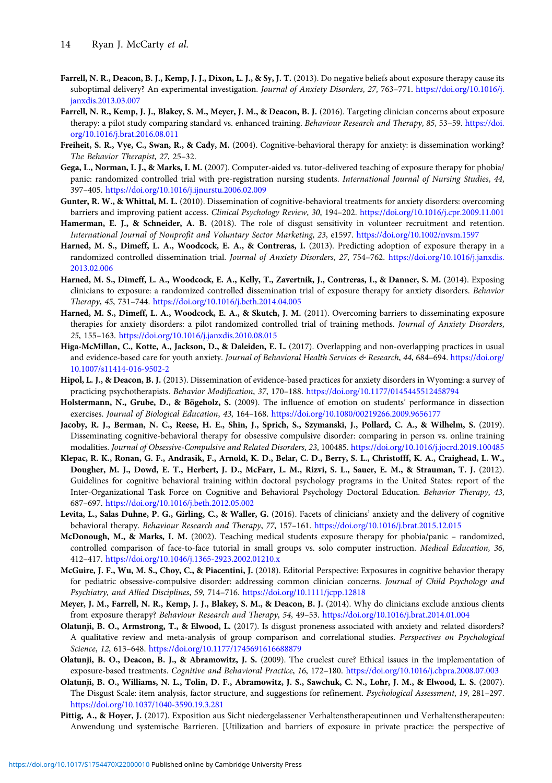- <span id="page-13-0"></span>Farrell, N. R., Deacon, B. J., Kemp, J. J., Dixon, L. J., & Sy, J. T. (2013). Do negative beliefs about exposure therapy cause its suboptimal delivery? An experimental investigation. Journal of Anxiety Disorders, 27, 763–771. [https://doi.org/10.1016/j.](https://doi.org/10.1016/j.janxdis.2013.03.007) [janxdis.2013.03.007](https://doi.org/10.1016/j.janxdis.2013.03.007)
- Farrell, N. R., Kemp, J. J., Blakey, S. M., Meyer, J. M., & Deacon, B. J. (2016). Targeting clinician concerns about exposure therapy: a pilot study comparing standard vs. enhanced training. Behaviour Research and Therapy, 85, 53–59. [https://doi.](https://doi.org/10.1016/j.brat.2016.08.011) [org/10.1016/j.brat.2016.08.011](https://doi.org/10.1016/j.brat.2016.08.011)
- Freiheit, S. R., Vye, C., Swan, R., & Cady, M. (2004). Cognitive-behavioral therapy for anxiety: is dissemination working? The Behavior Therapist, 27, 25–32.
- Gega, L., Norman, I. J., & Marks, I. M. (2007). Computer-aided vs. tutor-delivered teaching of exposure therapy for phobia/ panic: randomized controlled trial with pre-registration nursing students. International Journal of Nursing Studies, 44, 397–405. <https://doi.org/10.1016/j.ijnurstu.2006.02.009>
- Gunter, R. W., & Whittal, M. L. (2010). Dissemination of cognitive-behavioral treatments for anxiety disorders: overcoming barriers and improving patient access. Clinical Psychology Review, 30, 194–202. <https://doi.org/10.1016/j.cpr.2009.11.001>
- Hamerman, E. J., & Schneider, A. B. (2018). The role of disgust sensitivity in volunteer recruitment and retention. International Journal of Nonprofit and Voluntary Sector Marketing, 23, e1597. <https://doi.org/10.1002/nvsm.1597>
- Harned, M. S., Dimeff, L. A., Woodcock, E. A., & Contreras, I. (2013). Predicting adoption of exposure therapy in a randomized controlled dissemination trial. Journal of Anxiety Disorders, 27, 754–762. [https://doi.org/10.1016/j.janxdis.](https://doi.org/10.1016/j.janxdis.2013.02.006) [2013.02.006](https://doi.org/10.1016/j.janxdis.2013.02.006)
- Harned, M. S., Dimeff, L. A., Woodcock, E. A., Kelly, T., Zavertnik, J., Contreras, I., & Danner, S. M. (2014). Exposing clinicians to exposure: a randomized controlled dissemination trial of exposure therapy for anxiety disorders. Behavior Therapy, 45, 731–744. <https://doi.org/10.1016/j.beth.2014.04.005>
- Harned, M. S., Dimeff, L. A., Woodcock, E. A., & Skutch, J. M. (2011). Overcoming barriers to disseminating exposure therapies for anxiety disorders: a pilot randomized controlled trial of training methods. Journal of Anxiety Disorders, 25, 155–163. <https://doi.org/10.1016/j.janxdis.2010.08.015>
- Higa-McMillan, C., Kotte, A., Jackson, D., & Daleiden, E. L. (2017). Overlapping and non-overlapping practices in usual and evidence-based care for youth anxiety. Journal of Behavioral Health Services & Research, 44, 684-694. [https://doi.org/](https://doi.org/10.1007/s11414-016-9502-2) [10.1007/s11414-016-9502-2](https://doi.org/10.1007/s11414-016-9502-2)
- Hipol, L. J., & Deacon, B. J. (2013). Dissemination of evidence-based practices for anxiety disorders in Wyoming: a survey of practicing psychotherapists. Behavior Modification, 37, 170–188. <https://doi.org/10.1177/0145445512458794>
- Holstermann, N., Grube, D., & Bögeholz, S. (2009). The influence of emotion on students' performance in dissection exercises. Journal of Biological Education, 43, 164–168. <https://doi.org/10.1080/00219266.2009.9656177>
- Jacoby, R. J., Berman, N. C., Reese, H. E., Shin, J., Sprich, S., Szymanski, J., Pollard, C. A., & Wilhelm, S. (2019). Disseminating cognitive-behavioral therapy for obsessive compulsive disorder: comparing in person vs. online training modalities. Journal of Obsessive-Compulsive and Related Disorders, 23, 100485. <https://doi.org/10.1016/j.jocrd.2019.100485>
- Klepac, R. K., Ronan, G. F., Andrasik, F., Arnold, K. D., Belar, C. D., Berry, S. L., Christofff, K. A., Craighead, L. W., Dougher, M. J., Dowd, E. T., Herbert, J. D., McFarr, L. M., Rizvi, S. L., Sauer, E. M., & Strauman, T. J. (2012). Guidelines for cognitive behavioral training within doctoral psychology programs in the United States: report of the Inter-Organizational Task Force on Cognitive and Behavioral Psychology Doctoral Education. Behavior Therapy, 43, 687–697. <https://doi.org/10.1016/j.beth.2012.05.002>
- Levita, L., Salas Duhne, P. G., Girling, C., & Waller, G. (2016). Facets of clinicians' anxiety and the delivery of cognitive behavioral therapy. Behaviour Research and Therapy, 77, 157–161. <https://doi.org/10.1016/j.brat.2015.12.015>
- McDonough, M., & Marks, I. M. (2002). Teaching medical students exposure therapy for phobia/panic randomized, controlled comparison of face-to-face tutorial in small groups vs. solo computer instruction. Medical Education, 36, 412–417. <https://doi.org/10.1046/j.1365-2923.2002.01210.x>
- McGuire, J. F., Wu, M. S., Choy, C., & Piacentini, J. (2018). Editorial Perspective: Exposures in cognitive behavior therapy for pediatric obsessive-compulsive disorder: addressing common clinician concerns. Journal of Child Psychology and Psychiatry, and Allied Disciplines, 59, 714–716. <https://doi.org/10.1111/jcpp.12818>
- Meyer, J. M., Farrell, N. R., Kemp, J. J., Blakey, S. M., & Deacon, B. J. (2014). Why do clinicians exclude anxious clients from exposure therapy? Behaviour Research and Therapy, 54, 49–53. <https://doi.org/10.1016/j.brat.2014.01.004>
- Olatunji, B. O., Armstrong, T., & Elwood, L. (2017). Is disgust proneness associated with anxiety and related disorders? A qualitative review and meta-analysis of group comparison and correlational studies. Perspectives on Psychological Science, 12, 613–648. <https://doi.org/10.1177/1745691616688879>
- Olatunji, B. O., Deacon, B. J., & Abramowitz, J. S. (2009). The cruelest cure? Ethical issues in the implementation of exposure-based treatments. Cognitive and Behavioral Practice, 16, 172–180. <https://doi.org/10.1016/j.cbpra.2008.07.003>
- Olatunji, B. O., Williams, N. L., Tolin, D. F., Abramowitz, J. S., Sawchuk, C. N., Lohr, J. M., & Elwood, L. S. (2007). The Disgust Scale: item analysis, factor structure, and suggestions for refinement. Psychological Assessment, 19, 281–297. <https://doi.org/10.1037/1040-3590.19.3.281>
- Pittig, A., & Hoyer, J. (2017). Exposition aus Sicht niedergelassener Verhaltenstherapeutinnen und Verhaltenstherapeuten: Anwendung und systemische Barrieren. [Utilization and barriers of exposure in private practice: the perspective of